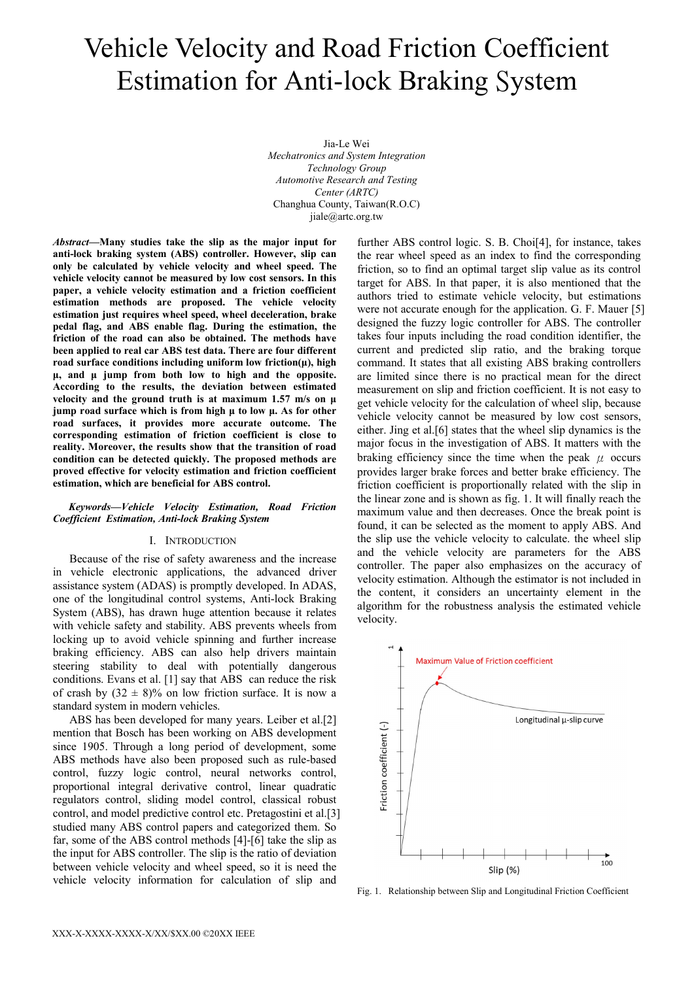# Vehicle Velocity and Road Friction Coefficient Estimation for Anti-lock Braking System

Jia-Le Wei *Mechatronics and System Integration Technology Group Automotive Research and Testing Center (ARTC)*  Changhua County, Taiwan(R.O.C) jiale@artc.org.tw

*Abstract***—Many studies take the slip as the major input for anti-lock braking system (ABS) controller. However, slip can only be calculated by vehicle velocity and wheel speed. The vehicle velocity cannot be measured by low cost sensors. In this paper, a vehicle velocity estimation and a friction coefficient estimation methods are proposed. The vehicle velocity estimation just requires wheel speed, wheel deceleration, brake pedal flag, and ABS enable flag. During the estimation, the friction of the road can also be obtained. The methods have been applied to real car ABS test data. There are four different road surface conditions including uniform low friction(μ), high μ, and μ jump from both low to high and the opposite. According to the results, the deviation between estimated velocity and the ground truth is at maximum 1.57 m/s on μ jump road surface which is from high μ to low μ. As for other road surfaces, it provides more accurate outcome. The corresponding estimation of friction coefficient is close to reality. Moreover, the results show that the transition of road condition can be detected quickly. The proposed methods are proved effective for velocity estimation and friction coefficient estimation, which are beneficial for ABS control.** 

#### *Keywords—Vehicle Velocity Estimation, Road Friction Coefficient Estimation, Anti-lock Braking System*

# I. INTRODUCTION

Because of the rise of safety awareness and the increase in vehicle electronic applications, the advanced driver assistance system (ADAS) is promptly developed. In ADAS, one of the longitudinal control systems, Anti-lock Braking System (ABS), has drawn huge attention because it relates with vehicle safety and stability. ABS prevents wheels from locking up to avoid vehicle spinning and further increase braking efficiency. ABS can also help drivers maintain steering stability to deal with potentially dangerous conditions. Evans et al. [1] say that ABS can reduce the risk of crash by  $(32 \pm 8)\%$  on low friction surface. It is now a standard system in modern vehicles.

ABS has been developed for many years. Leiber et al.[2] mention that Bosch has been working on ABS development since 1905. Through a long period of development, some ABS methods have also been proposed such as rule-based control, fuzzy logic control, neural networks control, proportional integral derivative control, linear quadratic regulators control, sliding model control, classical robust control, and model predictive control etc. Pretagostini et al.[3] studied many ABS control papers and categorized them. So far, some of the ABS control methods [4]-[6] take the slip as the input for ABS controller. The slip is the ratio of deviation between vehicle velocity and wheel speed, so it is need the vehicle velocity information for calculation of slip and

further ABS control logic. S. B. Choi[4], for instance, takes the rear wheel speed as an index to find the corresponding friction, so to find an optimal target slip value as its control target for ABS. In that paper, it is also mentioned that the authors tried to estimate vehicle velocity, but estimations were not accurate enough for the application. G. F. Mauer [5] designed the fuzzy logic controller for ABS. The controller takes four inputs including the road condition identifier, the current and predicted slip ratio, and the braking torque command. It states that all existing ABS braking controllers are limited since there is no practical mean for the direct measurement on slip and friction coefficient. It is not easy to get vehicle velocity for the calculation of wheel slip, because vehicle velocity cannot be measured by low cost sensors, either. Jing et al.[6] states that the wheel slip dynamics is the major focus in the investigation of ABS. It matters with the braking efficiency since the time when the peak  $\mu$  occurs provides larger brake forces and better brake efficiency. The friction coefficient is proportionally related with the slip in the linear zone and is shown as fig. 1. It will finally reach the maximum value and then decreases. Once the break point is found, it can be selected as the moment to apply ABS. And the slip use the vehicle velocity to calculate. the wheel slip and the vehicle velocity are parameters for the ABS controller. The paper also emphasizes on the accuracy of velocity estimation. Although the estimator is not included in the content, it considers an uncertainty element in the algorithm for the robustness analysis the estimated vehicle velocity.



Fig. 1. Relationship between Slip and Longitudinal Friction Coefficient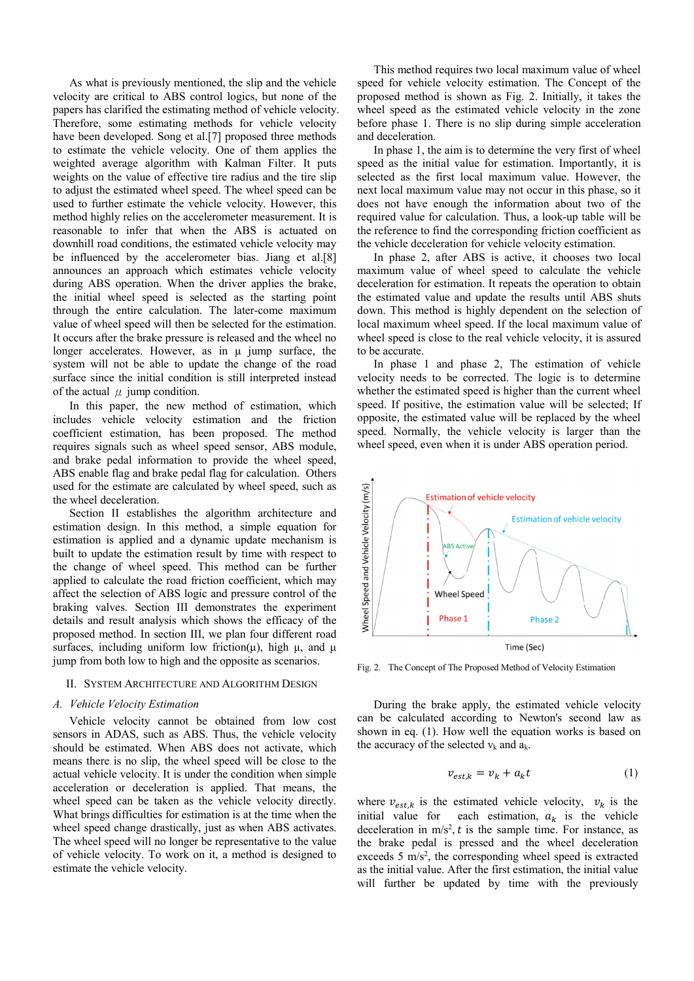As what is previously mentioned, the slip and the vehicle velocity are critical to ABS control logics, but none of the papers has clarified the estimating method of vehicle velocity. Therefore, some estimating methods for vehicle velocity have been developed. Song et al.[7] proposed three methods to estimate the vehicle velocity. One of them applies the weighted average algorithm with Kalman Filter. It puts weights on the value of effective tire radius and the tire slip to adjust the estimated wheel speed. The wheel speed can be used to further estimate the vehicle velocity. However, this method highly relies on the accelerometer measurement. It is reasonable to infer that when the ABS is actuated on downhill road conditions, the estimated vehicle velocity may be influenced by the accelerometer bias. Jiang et al.[8] announces an approach which estimates vehicle velocity during ABS operation. When the driver applies the brake, the initial wheel speed is selected as the starting point through the entire calculation. The later-come maximum value of wheel speed will then be selected for the estimation. It occurs after the brake pressure is released and the wheel no longer accelerates. However, as in μ jump surface, the system will not be able to update the change of the road surface since the initial condition is still interpreted instead of the actual  $\mu$  jump condition.

In this paper, the new method of estimation, which includes vehicle velocity estimation and the friction coefficient estimation, has been proposed. The method requires signals such as wheel speed sensor, ABS module, and brake pedal information to provide the wheel speed, ABS enable flag and brake pedal flag for calculation. Others used for the estimate are calculated by wheel speed, such as the wheel deceleration.

Section II establishes the algorithm architecture and estimation design. In this method, a simple equation for estimation is applied and a dynamic update mechanism is built to update the estimation result by time with respect to the change of wheel speed. This method can be further applied to calculate the road friction coefficient, which may affect the selection of ABS logic and pressure control of the braking valves. Section III demonstrates the experiment details and result analysis which shows the efficacy of the proposed method. In section III, we plan four different road surfaces, including uniform low friction(μ), high μ, and μ jump from both low to high and the opposite as scenarios.

#### II. SYSTEM ARCHITECTURE AND ALGORITHM DESIGN

## *A. Vehicle Velocity Estimation*

Vehicle velocity cannot be obtained from low cost sensors in ADAS, such as ABS. Thus, the vehicle velocity should be estimated. When ABS does not activate, which means there is no slip, the wheel speed will be close to the actual vehicle velocity. It is under the condition when simple acceleration or deceleration is applied. That means, the wheel speed can be taken as the vehicle velocity directly. What brings difficulties for estimation is at the time when the wheel speed change drastically, just as when ABS activates. The wheel speed will no longer be representative to the value of vehicle velocity. To work on it, a method is designed to estimate the vehicle velocity.

This method requires two local maximum value of wheel speed for vehicle velocity estimation. The Concept of the proposed method is shown as Fig. 2. Initially, it takes the wheel speed as the estimated vehicle velocity in the zone before phase 1. There is no slip during simple acceleration and deceleration.

In phase 1, the aim is to determine the very first of wheel speed as the initial value for estimation. Importantly, it is selected as the first local maximum value. However, the next local maximum value may not occur in this phase, so it does not have enough the information about two of the required value for calculation. Thus, a look-up table will be the reference to find the corresponding friction coefficient as the vehicle deceleration for vehicle velocity estimation.

In phase 2, after ABS is active, it chooses two local maximum value of wheel speed to calculate the vehicle deceleration for estimation. It repeats the operation to obtain the estimated value and update the results until ABS shuts down. This method is highly dependent on the selection of local maximum wheel speed. If the local maximum value of wheel speed is close to the real vehicle velocity, it is assured to be accurate.

In phase 1 and phase 2, The estimation of vehicle velocity needs to be corrected. The logic is to determine whether the estimated speed is higher than the current wheel speed. If positive, the estimation value will be selected; If opposite, the estimated value will be replaced by the wheel speed. Normally, the vehicle velocity is larger than the wheel speed, even when it is under ABS operation period.



Fig. 2. The Concept of The Proposed Method of Velocity Estimation

During the brake apply, the estimated vehicle velocity can be calculated according to Newton's second law as shown in eq. (1). How well the equation works is based on the accuracy of the selected  $v_k$  and  $a_k$ .

$$
v_{est,k} = v_k + a_k t \tag{1}
$$

where  $v_{est,k}$  is the estimated vehicle velocity,  $v_k$  is the initial value for each estimation,  $a_k$  is the vehicle deceleration in  $m/s^2$ , t is the sample time. For instance, as the brake pedal is pressed and the wheel deceleration exceeds  $5 \text{ m/s}^2$ , the corresponding wheel speed is extracted as the initial value. After the first estimation, the initial value will further be updated by time with the previously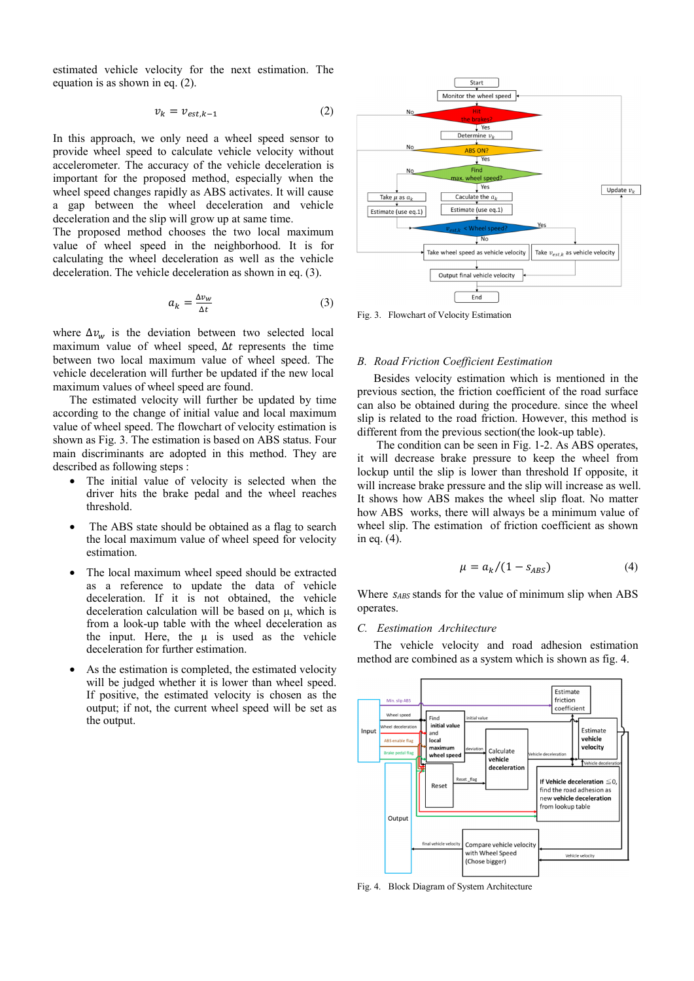estimated vehicle velocity for the next estimation. The equation is as shown in eq. (2).

$$
v_k = v_{est,k-1} \tag{2}
$$

In this approach, we only need a wheel speed sensor to provide wheel speed to calculate vehicle velocity without accelerometer. The accuracy of the vehicle deceleration is important for the proposed method, especially when the wheel speed changes rapidly as ABS activates. It will cause a gap between the wheel deceleration and vehicle deceleration and the slip will grow up at same time.

The proposed method chooses the two local maximum value of wheel speed in the neighborhood. It is for calculating the wheel deceleration as well as the vehicle deceleration. The vehicle deceleration as shown in eq. (3).

$$
a_k = \frac{\Delta v_w}{\Delta t} \tag{3}
$$

where  $\Delta v_w$  is the deviation between two selected local maximum value of wheel speed,  $\Delta t$  represents the time between two local maximum value of wheel speed. The vehicle deceleration will further be updated if the new local maximum values of wheel speed are found.

The estimated velocity will further be updated by time according to the change of initial value and local maximum value of wheel speed. The flowchart of velocity estimation is shown as Fig. 3. The estimation is based on ABS status. Four main discriminants are adopted in this method. They are described as following steps :

- The initial value of velocity is selected when the driver hits the brake pedal and the wheel reaches threshold.
- The ABS state should be obtained as a flag to search the local maximum value of wheel speed for velocity estimation.
- The local maximum wheel speed should be extracted as a reference to update the data of vehicle deceleration. If it is not obtained, the vehicle deceleration calculation will be based on μ, which is from a look-up table with the wheel deceleration as the input. Here, the  $\mu$  is used as the vehicle deceleration for further estimation.
- As the estimation is completed, the estimated velocity will be judged whether it is lower than wheel speed. If positive, the estimated velocity is chosen as the output; if not, the current wheel speed will be set as the output.



Fig. 3. Flowchart of Velocity Estimation

## *B. Road Friction Coefficient Eestimation*

Besides velocity estimation which is mentioned in the previous section, the friction coefficient of the road surface can also be obtained during the procedure. since the wheel slip is related to the road friction. However, this method is different from the previous section(the look-up table).

 The condition can be seen in Fig. 1-2. As ABS operates, it will decrease brake pressure to keep the wheel from lockup until the slip is lower than threshold If opposite, it will increase brake pressure and the slip will increase as well. It shows how ABS makes the wheel slip float. No matter how ABS works, there will always be a minimum value of wheel slip. The estimation of friction coefficient as shown in eq. (4).

$$
\mu = a_k/(1 - s_{ABS}) \tag{4}
$$

Where *sABS* stands for the value of minimum slip when ABS operates.

## *C. Eestimation Architecture*

The vehicle velocity and road adhesion estimation method are combined as a system which is shown as fig. 4.



Fig. 4. Block Diagram of System Architecture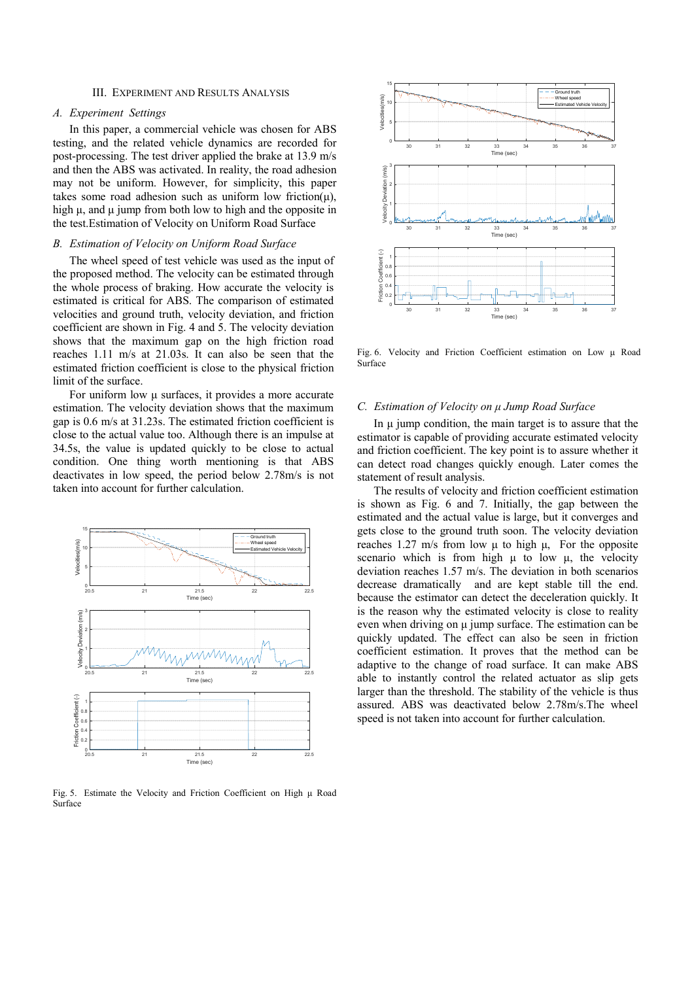## III. EXPERIMENT AND RESULTS ANALYSIS

# *A. Experiment Settings*

In this paper, a commercial vehicle was chosen for ABS testing, and the related vehicle dynamics are recorded for post-processing. The test driver applied the brake at 13.9 m/s and then the ABS was activated. In reality, the road adhesion may not be uniform. However, for simplicity, this paper takes some road adhesion such as uniform low friction( $\mu$ ), high  $\mu$ , and  $\mu$  jump from both low to high and the opposite in the test.Estimation of Velocity on Uniform Road Surface

#### *B. Estimation of Velocity on Uniform Road Surface*

The wheel speed of test vehicle was used as the input of the proposed method. The velocity can be estimated through the whole process of braking. How accurate the velocity is estimated is critical for ABS. The comparison of estimated velocities and ground truth, velocity deviation, and friction coefficient are shown in Fig. 4 and 5. The velocity deviation shows that the maximum gap on the high friction road reaches 1.11 m/s at 21.03s. It can also be seen that the estimated friction coefficient is close to the physical friction limit of the surface.

For uniform low μ surfaces, it provides a more accurate estimation. The velocity deviation shows that the maximum gap is 0.6 m/s at 31.23s. The estimated friction coefficient is close to the actual value too. Although there is an impulse at 34.5s, the value is updated quickly to be close to actual condition. One thing worth mentioning is that ABS deactivates in low speed, the period below 2.78m/s is not taken into account for further calculation.



Fig. 5. Estimate the Velocity and Friction Coefficient on High μ Road Surface



Fig. 6. Velocity and Friction Coefficient estimation on Low μ Road Surface

#### *C. Estimation of Velocity on μ Jump Road Surface*

In  $\mu$  jump condition, the main target is to assure that the estimator is capable of providing accurate estimated velocity and friction coefficient. The key point is to assure whether it can detect road changes quickly enough. Later comes the statement of result analysis.

The results of velocity and friction coefficient estimation is shown as Fig. 6 and 7. Initially, the gap between the estimated and the actual value is large, but it converges and gets close to the ground truth soon. The velocity deviation reaches 1.27 m/s from low μ to high μ, For the opposite scenario which is from high  $\mu$  to low  $\mu$ , the velocity deviation reaches 1.57 m/s. The deviation in both scenarios decrease dramatically and are kept stable till the end. because the estimator can detect the deceleration quickly. It is the reason why the estimated velocity is close to reality even when driving on μ jump surface. The estimation can be quickly updated. The effect can also be seen in friction coefficient estimation. It proves that the method can be adaptive to the change of road surface. It can make ABS able to instantly control the related actuator as slip gets larger than the threshold. The stability of the vehicle is thus assured. ABS was deactivated below 2.78m/s.The wheel speed is not taken into account for further calculation.